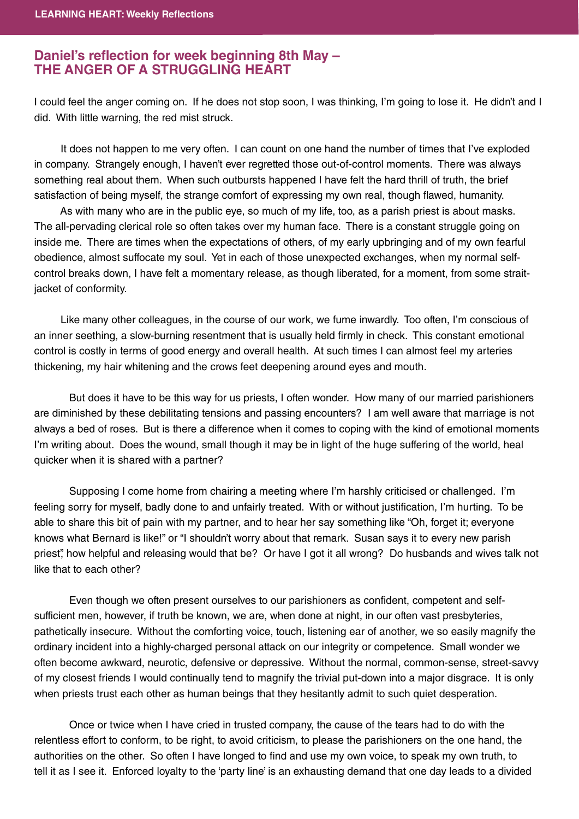## **Daniel's reflection for week beginning 8th May -<br>THE ANGER OF A STRUGGLING HEART THE ANGER OF A STRUGGLING HEART**

I could feel the anger coming on. If he does not stop soon, I was thinking, I'm going to lose it. He didn't and I did. With little warning, the red mist struck.

 It does not happen to me very often. I can count on one hand the number of times that I've exploded in company. Strangely enough, I haven't ever regretted those out-of-control moments. There was always something real about them. When such outbursts happened I have felt the hard thrill of truth, the brief satisfaction of being myself, the strange comfort of expressing my own real, though flawed, humanity.

 As with many who are in the public eye, so much of my life, too, as a parish priest is about masks. The all-pervading clerical role so often takes over my human face. There is a constant struggle going on inside me. There are times when the expectations of others, of my early upbringing and of my own fearful obedience, almost suffocate my soul. Yet in each of those unexpected exchanges, when my normal selfcontrol breaks down, I have felt a momentary release, as though liberated, for a moment, from some straitjacket of conformity.

 Like many other colleagues, in the course of our work, we fume inwardly. Too often, I'm conscious of an inner seething, a slow-burning resentment that is usually held firmly in check. This constant emotional control is costly in terms of good energy and overall health. At such times I can almost feel my arteries thickening, my hair whitening and the crows feet deepening around eyes and mouth.

 But does it have to be this way for us priests, I often wonder. How many of our married parishioners are diminished by these debilitating tensions and passing encounters? I am well aware that marriage is not always a bed of roses. But is there a difference when it comes to coping with the kind of emotional moments I'm writing about. Does the wound, small though it may be in light of the huge suffering of the world, heal quicker when it is shared with a partner?

 Supposing I come home from chairing a meeting where I'm harshly criticised or challenged. I'm feeling sorry for myself, badly done to and unfairly treated. With or without justification, I'm hurting. To be able to share this bit of pain with my partner, and to hear her say something like "Oh, forget it; everyone knows what Bernard is like!" or "I shouldn't worry about that remark. Susan says it to every new parish priest", how helpful and releasing would that be? Or have I got it all wrong? Do husbands and wives talk not like that to each other?

Even though we often present ourselves to our parishioners as confident, competent and selfsufficient men, however, if truth be known, we are, when done at night, in our often vast presbyteries, pathetically insecure. Without the comforting voice, touch, listening ear of another, we so easily magnify the ordinary incident into a highly-charged personal attack on our integrity or competence. Small wonder we often become awkward, neurotic, defensive or depressive. Without the normal, common-sense, street-savvy of my closest friends I would continually tend to magnify the trivial put-down into a major disgrace. It is only when priests trust each other as human beings that they hesitantly admit to such quiet desperation.

 Once or twice when I have cried in trusted company, the cause of the tears had to do with the relentless effort to conform, to be right, to avoid criticism, to please the parishioners on the one hand, the authorities on the other. So often I have longed to find and use my own voice, to speak my own truth, to tell it as I see it. Enforced loyalty to the 'party line' is an exhausting demand that one day leads to a divided